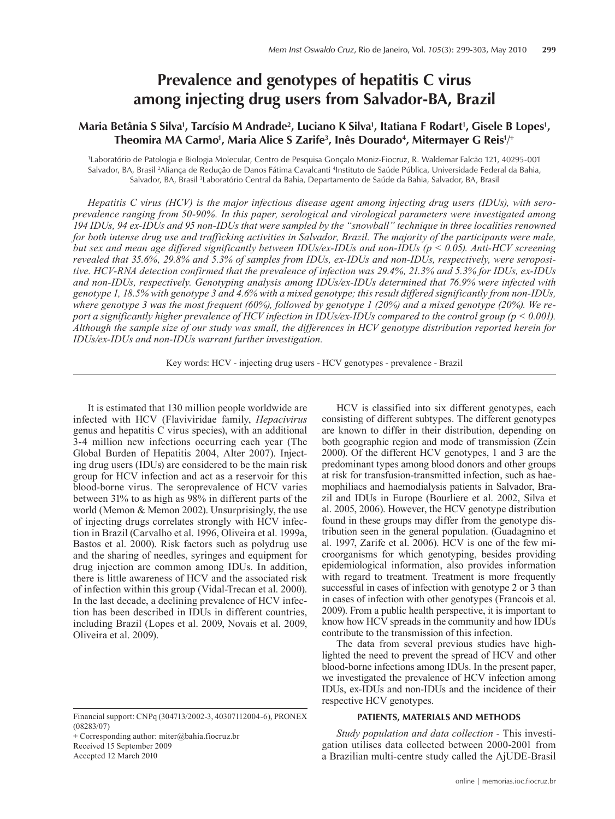# **Prevalence and genotypes of hepatitis C virus among injecting drug users from Salvador-BA, Brazil**

## Maria Betânia S Silva', Tarcísio M Andrade<sup>2</sup>, Luciano K Silva', Itatiana F Rodart', Gisele B Lopes', Theomira MA Carmo<sup>1</sup>, Maria Alice S Zarife<sup>3</sup>, Inês Dourado<sup>4</sup>, Mitermayer G Reis<sup>1/+</sup>

1 Laboratório de Patologia e Biologia Molecular, Centro de Pesquisa Gonçalo Moniz-Fiocruz, R. Waldemar Falcão 121, 40295-001 Salvador, BA, Brasil 2Aliança de Redução de Danos Fátima Cavalcanti 4 Instituto de Saúde Pública, Universidade Federal da Bahia, Salvador, BA, Brasil <sup>3</sup>Laboratório Central da Bahia, Departamento de Saúde da Bahia, Salvador, BA, Brasil

*Hepatitis C virus (HCV) is the major infectious disease agent among injecting drug users (IDUs), with seroprevalence ranging from 50-90%. In this paper, serological and virological parameters were investigated among 194 IDUs, 94 ex-IDUs and 95 non-IDUs that were sampled by the "snowball" technique in three localities renowned for both intense drug use and trafficking activities in Salvador, Brazil. The majority of the participants were male, but sex and mean age differed significantly between IDUs/ex-IDUs and non-IDUs (p < 0.05). Anti-HCV screening revealed that 35.6%, 29.8% and 5.3% of samples from IDUs, ex-IDUs and non-IDUs, respectively, were seropositive. HCV-RNA detection confirmed that the prevalence of infection was 29.4%, 21.3% and 5.3% for IDUs, ex-IDUs and non-IDUs, respectively. Genotyping analysis among IDUs/ex-IDUs determined that 76.9% were infected with genotype 1, 18.5% with genotype 3 and 4.6% with a mixed genotype; this result differed significantly from non-IDUs, where genotype 3 was the most frequent (60%), followed by genotype 1 (20%) and a mixed genotype (20%). We report a significantly higher prevalence of HCV infection in IDUs/ex-IDUs compared to the control group (p < 0.001). Although the sample size of our study was small, the differences in HCV genotype distribution reported herein for IDUs/ex-IDUs and non-IDUs warrant further investigation.*

Key words: HCV - injecting drug users - HCV genotypes - prevalence - Brazil

It is estimated that 130 million people worldwide are infected with HCV (Flaviviridae family, *Hepacivirus*  genus and hepatitis C virus species), with an additional 3-4 million new infections occurring each year (The Global Burden of Hepatitis 2004, Alter 2007). Injecting drug users (IDUs) are considered to be the main risk group for HCV infection and act as a reservoir for this blood-borne virus. The seroprevalence of HCV varies between 31% to as high as 98% in different parts of the world (Memon & Memon 2002). Unsurprisingly, the use of injecting drugs correlates strongly with HCV infection in Brazil (Carvalho et al. 1996, Oliveira et al. 1999a, Bastos et al. 2000). Risk factors such as polydrug use and the sharing of needles, syringes and equipment for drug injection are common among IDUs. In addition, there is little awareness of HCV and the associated risk of infection within this group (Vidal-Trecan et al. 2000). In the last decade, a declining prevalence of HCV infection has been described in IDUs in different countries, including Brazil (Lopes et al. 2009, Novais et al. 2009, Oliveira et al. 2009).

+ Corresponding author: miter@bahia.fiocruz.br Received 15 September 2009 Accepted 12 March 2010

HCV is classified into six different genotypes, each consisting of different subtypes. The different genotypes are known to differ in their distribution, depending on both geographic region and mode of transmission (Zein 2000). Of the different HCV genotypes, 1 and 3 are the predominant types among blood donors and other groups at risk for transfusion-transmitted infection, such as haemophiliacs and haemodialysis patients in Salvador, Brazil and IDUs in Europe (Bourliere et al. 2002, Silva et al. 2005, 2006). However, the HCV genotype distribution found in these groups may differ from the genotype distribution seen in the general population. (Guadagnino et al. 1997, Zarife et al. 2006). HCV is one of the few microorganisms for which genotyping, besides providing epidemiological information, also provides information with regard to treatment. Treatment is more frequently successful in cases of infection with genotype 2 or 3 than in cases of infection with other genotypes (Francois et al. 2009). From a public health perspective, it is important to know how HCV spreads in the community and how IDUs contribute to the transmission of this infection.

The data from several previous studies have highlighted the need to prevent the spread of HCV and other blood-borne infections among IDUs. In the present paper, we investigated the prevalence of HCV infection among IDUs, ex-IDUs and non-IDUs and the incidence of their respective HCV genotypes.

## **PATIENTS, MATERIALS AND METHODS**

*Study population and data collection* - This investigation utilises data collected between 2000-2001 from a Brazilian multi-centre study called the AjUDE-Brasil

Financial support: CNPq (304713/2002-3, 40307112004-6), PRONEX (08283/07)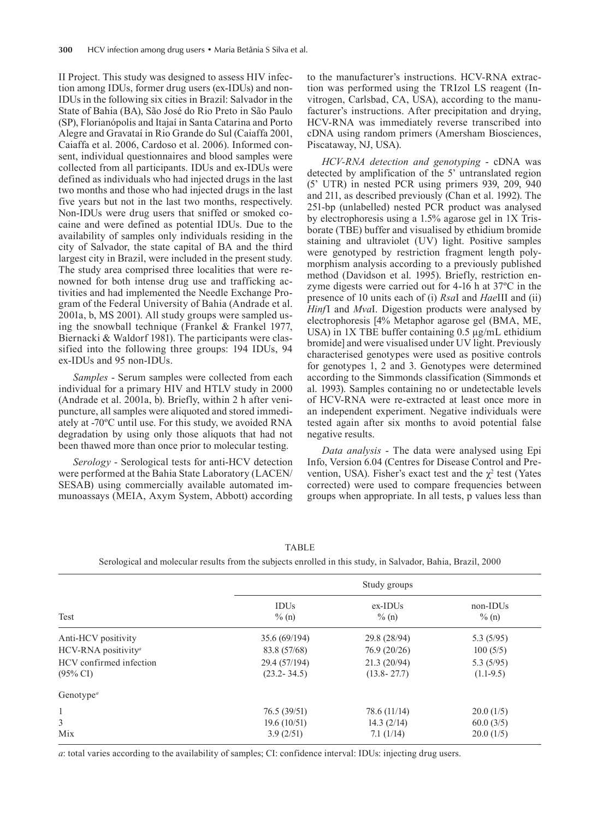II Project. This study was designed to assess HIV infection among IDUs, former drug users (ex-IDUs) and non-IDUs in the following six cities in Brazil: Salvador in the State of Bahia (BA), São José do Rio Preto in São Paulo (SP), Florianópolis and Itajaí in Santa Catarina and Porto Alegre and Gravataí in Rio Grande do Sul (Caiaffa 2001, Caiaffa et al. 2006, Cardoso et al. 2006). Informed consent, individual questionnaires and blood samples were collected from all participants. IDUs and ex-IDUs were defined as individuals who had injected drugs in the last two months and those who had injected drugs in the last five years but not in the last two months, respectively. Non-IDUs were drug users that sniffed or smoked cocaine and were defined as potential IDUs. Due to the availability of samples only individuals residing in the city of Salvador, the state capital of BA and the third largest city in Brazil, were included in the present study. The study area comprised three localities that were renowned for both intense drug use and trafficking activities and had implemented the Needle Exchange Program of the Federal University of Bahia (Andrade et al. 2001a, b, MS 2001). All study groups were sampled using the snowball technique (Frankel & Frankel 1977, Biernacki & Waldorf 1981). The participants were classified into the following three groups: 194 IDUs, 94 ex-IDUs and 95 non-IDUs.

*Samples* - Serum samples were collected from each individual for a primary HIV and HTLV study in 2000 (Andrade et al. 2001a, b). Briefly, within 2 h after venipuncture, all samples were aliquoted and stored immediately at -70ºC until use. For this study, we avoided RNA degradation by using only those aliquots that had not been thawed more than once prior to molecular testing.

*Serology* - Serological tests for anti-HCV detection were performed at the Bahia State Laboratory (LACEN/ SESAB) using commercially available automated immunoassays (MEIA, Axym System, Abbott) according

to the manufacturer's instructions. HCV-RNA extraction was performed using the TRIzol LS reagent (Invitrogen, Carlsbad, CA, USA), according to the manufacturer's instructions. After precipitation and drying, HCV-RNA was immediately reverse transcribed into cDNA using random primers (Amersham Biosciences, Piscataway, NJ, USA).

*HCV-RNA detection and genotyping* - cDNA was detected by amplification of the 5' untranslated region (5' UTR) in nested PCR using primers 939, 209, 940 and 211, as described previously (Chan et al. 1992). The 251-bp (unlabelled) nested PCR product was analysed by electrophoresis using a 1.5% agarose gel in 1x Trisborate (TBE) buffer and visualised by ethidium bromide staining and ultraviolet (UV) light. Positive samples were genotyped by restriction fragment length polymorphism analysis according to a previously published method (Davidson et al. 1995). Briefly, restriction enzyme digests were carried out for 4-16 h at 37ºC in the presence of 10 units each of (i) *Rsa*I and *Hae*III and (ii) *Hinf*I and *Mva*I. Digestion products were analysed by electrophoresis [4% Metaphor agarose gel (BMA, ME, USA) in  $1X$  TBE buffer containing 0.5  $\mu$ g/mL ethidium bromide] and were visualised under UV light. Previously characterised genotypes were used as positive controls for genotypes 1, 2 and 3. Genotypes were determined according to the Simmonds classification (Simmonds et al. 1993). Samples containing no or undetectable levels of HCV-RNA were re-extracted at least once more in an independent experiment. Negative individuals were tested again after six months to avoid potential false negative results.

*Data analysis* - The data were analysed using Epi Info, Version 6.04 (Centres for Disease Control and Prevention, USA). Fisher's exact test and the  $\chi^2$  test (Yates corrected) were used to compare frequencies between groups when appropriate. In all tests, p values less than

| Test                               | Study groups            |                        |                      |
|------------------------------------|-------------------------|------------------------|----------------------|
|                                    | <b>IDUs</b><br>$\%$ (n) | $ex$ -IDUs<br>$\%$ (n) | non-IDUs<br>$\%$ (n) |
| Anti-HCV positivity                | 35.6 (69/194)           | 29.8 (28/94)           | 5.3(5/95)            |
| HCV-RNA positivity <sup>a</sup>    | 83.8 (57/68)            | 76.9(20/26)            | 100(5/5)             |
| HCV confirmed infection            | 29.4 (57/194)           | 21.3(20/94)            | 5.3(5/95)            |
| $(95\% \text{ CI})$                | $(23.2 - 34.5)$         | $(13.8 - 27.7)$        | $(1.1-9.5)$          |
| Genotype <sup><math>a</math></sup> |                         |                        |                      |
| 1                                  | 76.5(39/51)             | 78.6 (11/14)           | 20.0(1/5)            |
| 3                                  | 19.6(10/51)             | 14.3(2/14)             | 60.0(3/5)            |
| Mix                                | 3.9(2/51)               | 7.1(1/14)              | 20.0(1/5)            |

**TABLE** Serological and molecular results from the subjects enrolled in this study, in Salvador, Bahia, Brazil, 2000

*a*: total varies according to the availability of samples; CI: confidence interval: IDUs: injecting drug users.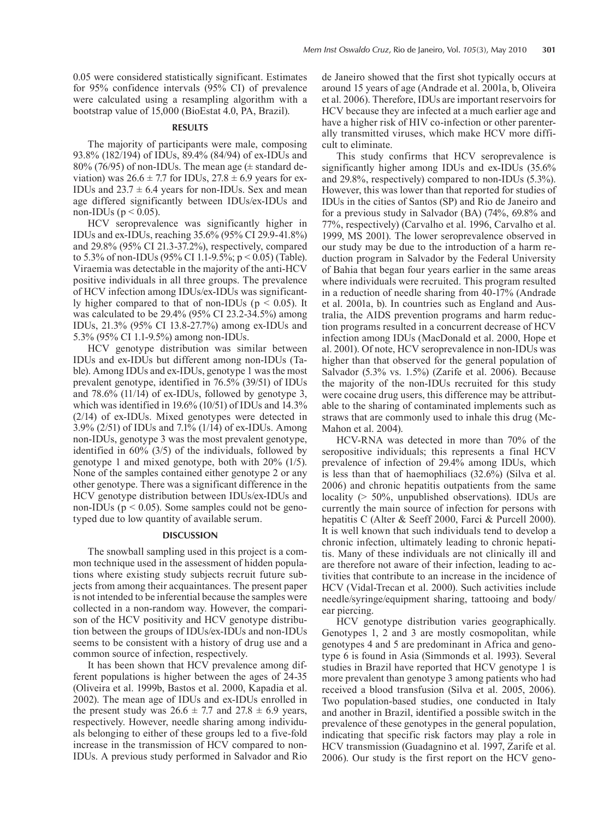0.05 were considered statistically significant. Estimates for 95% confidence intervals (95% CI) of prevalence were calculated using a resampling algorithm with a bootstrap value of 15,000 (BioEstat 4.0, PA, Brazil).

## **RESULTS**

The majority of participants were male, composing 93.8% (182/194) of IDUs, 89.4% (84/94) of ex-IDUs and 80% (76/95) of non-IDUs. The mean age  $(\pm$  standard deviation) was  $26.6 \pm 7.7$  for IDUs,  $27.8 \pm 6.9$  years for ex-IDUs and  $23.7 \pm 6.4$  years for non-IDUs. Sex and mean age differed significantly between IDUs/ex-IDUs and non-IDUs ( $p < 0.05$ ).

HCV seroprevalence was significantly higher in IDUs and ex-IDUs, reaching 35.6% (95% CI 29.9-41.8%) and 29.8% (95% CI 21.3-37.2%), respectively, compared to 5.3% of non-IDUs (95% CI 1.1-9.5%; p < 0.05) (Table). Viraemia was detectable in the majority of the anti-HCV positive individuals in all three groups. The prevalence of HCV infection among IDUs/ex-IDUs was significantly higher compared to that of non-IDUs ( $p < 0.05$ ). It was calculated to be 29.4% (95% CI 23.2-34.5%) among IDUs, 21.3% (95% CI 13.8-27.7%) among ex-IDUs and 5.3% (95% CI 1.1-9.5%) among non-IDUs.

HCV genotype distribution was similar between IDUs and ex-IDUs but different among non-IDUs (Table). Among IDUs and ex-IDUs, genotype 1 was the most prevalent genotype, identified in 76.5% (39/51) of IDUs and 78.6% (11/14) of ex-IDUs, followed by genotype 3, which was identified in 19.6% (10/51) of IDUs and 14.3% (2/14) of ex-IDUs. Mixed genotypes were detected in 3.9% (2/51) of IDUs and 7.1% (1/14) of ex-IDUs. Among non-IDUs, genotype 3 was the most prevalent genotype, identified in 60% (3/5) of the individuals, followed by genotype 1 and mixed genotype, both with 20% (1/5). None of the samples contained either genotype 2 or any other genotype. There was a significant difference in the HCV genotype distribution between IDUs/ex-IDUs and non-IDUs ( $p < 0.05$ ). Some samples could not be genotyped due to low quantity of available serum.

## **DISCUSSION**

The snowball sampling used in this project is a common technique used in the assessment of hidden populations where existing study subjects recruit future subjects from among their acquaintances. The present paper is not intended to be inferential because the samples were collected in a non-random way. However, the comparison of the HCV positivity and HCV genotype distribution between the groups of IDUs/ex-IDUs and non-IDUs seems to be consistent with a history of drug use and a common source of infection, respectively.

It has been shown that HCV prevalence among different populations is higher between the ages of 24-35 (Oliveira et al. 1999b, Bastos et al. 2000, Kapadia et al. 2002). The mean age of IDUs and ex-IDUs enrolled in the present study was  $26.6 \pm 7.7$  and  $27.8 \pm 6.9$  years, respectively. However, needle sharing among individuals belonging to either of these groups led to a five-fold increase in the transmission of HCV compared to non-IDUs. A previous study performed in Salvador and Rio de Janeiro showed that the first shot typically occurs at around 15 years of age (Andrade et al. 2001a, b, Oliveira et al. 2006). Therefore, IDUs are important reservoirs for HCV because they are infected at a much earlier age and have a higher risk of HIV co-infection or other parenterally transmitted viruses, which make HCV more difficult to eliminate.

This study confirms that HCV seroprevalence is significantly higher among IDUs and ex-IDUs (35.6% and 29.8%, respectively) compared to non-IDUs (5.3%). However, this was lower than that reported for studies of IDUs in the cities of Santos (SP) and Rio de Janeiro and for a previous study in Salvador (BA) (74%, 69.8% and 77%, respectively) (Carvalho et al. 1996, Carvalho et al. 1999, MS 2001). The lower seroprevalence observed in our study may be due to the introduction of a harm reduction program in Salvador by the Federal University of Bahia that began four years earlier in the same areas where individuals were recruited. This program resulted in a reduction of needle sharing from 40-17% (Andrade et al. 2001a, b). In countries such as England and Australia, the AIDS prevention programs and harm reduction programs resulted in a concurrent decrease of HCV infection among IDUs (MacDonald et al. 2000, Hope et al. 2001). Of note, HCV seroprevalence in non-IDUs was higher than that observed for the general population of Salvador (5.3% vs. 1.5%) (Zarife et al. 2006). Because the majority of the non-IDUs recruited for this study were cocaine drug users, this difference may be attributable to the sharing of contaminated implements such as straws that are commonly used to inhale this drug (Mc-Mahon et al. 2004).

HCV-RNA was detected in more than 70% of the seropositive individuals; this represents a final HCV prevalence of infection of 29.4% among IDUs, which is less than that of haemophiliacs (32.6%) (Silva et al. 2006) and chronic hepatitis outpatients from the same locality (> 50%, unpublished observations). IDUs are currently the main source of infection for persons with hepatitis C (Alter & Seeff 2000, Farci & Purcell 2000). It is well known that such individuals tend to develop a chronic infection, ultimately leading to chronic hepatitis. Many of these individuals are not clinically ill and are therefore not aware of their infection, leading to activities that contribute to an increase in the incidence of HCV (Vidal-Trecan et al. 2000). Such activities include needle/syringe/equipment sharing, tattooing and body/ ear piercing.

HCV genotype distribution varies geographically. Genotypes 1, 2 and 3 are mostly cosmopolitan, while genotypes 4 and 5 are predominant in Africa and genotype 6 is found in Asia (Simmonds et al. 1993). Several studies in Brazil have reported that HCV genotype 1 is more prevalent than genotype 3 among patients who had received a blood transfusion (Silva et al. 2005, 2006). Two population-based studies, one conducted in Italy and another in Brazil, identified a possible switch in the prevalence of these genotypes in the general population, indicating that specific risk factors may play a role in HCV transmission (Guadagnino et al. 1997, Zarife et al. 2006). Our study is the first report on the HCV geno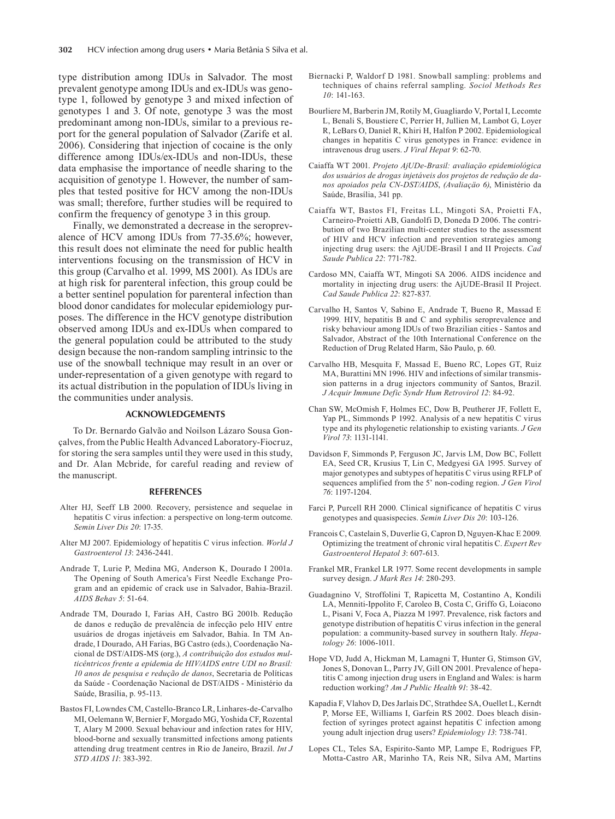type distribution among IDUs in Salvador. The most prevalent genotype among IDUs and ex-IDUs was genotype 1, followed by genotype 3 and mixed infection of genotypes 1 and 3. Of note, genotype 3 was the most predominant among non-IDUs, similar to a previous report for the general population of Salvador (Zarife et al. 2006). Considering that injection of cocaine is the only difference among IDUs/ex-IDUs and non-IDUs, these data emphasise the importance of needle sharing to the acquisition of genotype 1. However, the number of samples that tested positive for HCV among the non-IDUs was small; therefore, further studies will be required to confirm the frequency of genotype 3 in this group.

Finally, we demonstrated a decrease in the seroprevalence of HCV among IDUs from 77-35.6%; however, this result does not eliminate the need for public health interventions focusing on the transmission of HCV in this group (Carvalho et al. 1999, MS 2001). As IDUs are at high risk for parenteral infection, this group could be a better sentinel population for parenteral infection than blood donor candidates for molecular epidemiology purposes. The difference in the HCV genotype distribution observed among IDUs and ex-IDUs when compared to the general population could be attributed to the study design because the non-random sampling intrinsic to the use of the snowball technique may result in an over or under-representation of a given genotype with regard to its actual distribution in the population of IDUs living in the communities under analysis.

#### **ACKNOWLEDGEMENTS**

To Dr. Bernardo Galvão and Noilson Lázaro Sousa Gonçalves, from the Public Health Advanced Laboratory-Fiocruz, for storing the sera samples until they were used in this study, and Dr. Alan Mcbride, for careful reading and review of the manuscript.

### **REFERENCES**

- Alter HJ, Seeff LB 2000. Recovery, persistence and sequelae in hepatitis C virus infection: a perspective on long-term outcome. *Semin Liver Dis 20*: 17-35.
- Alter MJ 2007. Epidemiology of hepatitis C virus infection. *World J Gastroenterol 13*: 2436-2441.
- Andrade T, Lurie P, Medina MG, Anderson K, Dourado I 2001a. The Opening of South America's First Needle Exchange Program and an epidemic of crack use in Salvador, Bahia-Brazil. *AIDS Behav 5*: 51-64.
- Andrade TM, Dourado I, Farias AH, Castro BG 2001b. Redução de danos e redução de prevalência de infecção pelo HIV entre usuários de drogas injetáveis em Salvador, Bahia. In TM Andrade, I Dourado, AH Farias, BG Castro (eds.), Coordenação Nacional de DST/AIDS-MS (org.), *A contribuição dos estudos multicêntricos frente a epidemia de HIV/AIDS entre UDI no Brasil: 10 anos de pesquisa e redução de danos*, Secretaria de Políticas da Saúde - Coordenação Nacional de DST/AIDS - Ministério da Saúde, Brasília, p. 95-113.
- Bastos FI, Lowndes CM, Castello-Branco LR, Linhares-de-Carvalho MI, Oelemann W, Bernier F, Morgado MG, Yoshida CF, Rozental T, Alary M 2000. Sexual behaviour and infection rates for HIV, blood-borne and sexually transmitted infections among patients attending drug treatment centres in Rio de Janeiro, Brazil. *Int J STD AIDS 11*: 383-392.
- Biernacki P, Waldorf D 1981. Snowball sampling: problems and techniques of chains referral sampling. *Sociol Methods Res 10*: 141-163.
- Bourliere M, Barberin JM, Rotily M, Guagliardo V, Portal I, Lecomte L, Benali S, Boustiere C, Perrier H, Jullien M, Lambot G, Loyer R, LeBars O, Daniel R, Khiri H, Halfon P 2002. Epidemiological changes in hepatitis C virus genotypes in France: evidence in intravenous drug users. *J Viral Hepat 9*: 62-70.
- Caiaffa WT 2001. *Projeto ajude-Brasil: avaliaçäo epidemiológica dos usuários de drogas injetáveis dos projetos de reduçäo de danos apoiados pela CN-DST/AIDS*, *(Avaliaçäo 6)*, Ministério da Saúde, Brasília, 341 pp.
- Caiaffa WT, Bastos FI, Freitas LL, Mingoti SA, Proietti FA, Carneiro-Proietti AB, Gandolfi D, Doneda D 2006. The contribution of two Brazilian multi-center studies to the assessment of HIV and HCV infection and prevention strategies among injecting drug users: the AjUDE-Brasil I and II Projects. *Cad Saude Publica 22*: 771-782.
- Cardoso MN, Caiaffa WT, Mingoti SA 2006. AIDS incidence and mortality in injecting drug users: the AjUDE-Brasil II Project. *Cad Saude Publica 22*: 827-837.
- Carvalho H, Santos V, Sabino E, Andrade T, Bueno R, Massad E 1999. HIV, hepatitis B and C and syphilis seroprevalence and risky behaviour among IDUs of two Brazilian cities - Santos and Salvador, Abstract of the 10th International Conference on the Reduction of Drug Related Harm, São Paulo, p. 60.
- Carvalho HB, Mesquita F, Massad E, Bueno RC, Lopes GT, Ruiz MA, Burattini MN 1996. HIV and infections of similar transmission patterns in a drug injectors community of Santos, Brazil. *J Acquir Immune Defic Syndr Hum Retrovirol 12*: 84-92.
- Chan SW, McOmish F, Holmes EC, Dow B, Peutherer JF, Follett E, Yap PL, Simmonds P 1992. Analysis of a new hepatitis C virus type and its phylogenetic relationship to existing variants. *J Gen Virol 73*: 1131-1141.
- Davidson F, Simmonds P, Ferguson JC, Jarvis LM, Dow BC, Follett EA, Seed CR, Krusius T, Lin C, Medgyesi GA 1995. Survey of major genotypes and subtypes of hepatitis C virus using RFLP of sequences amplified from the 5' non-coding region. *J Gen Virol 76*: 1197-1204.
- Farci P, Purcell RH 2000. Clinical significance of hepatitis C virus genotypes and quasispecies. *Semin Liver Dis 20*: 103-126.
- Francois C, Castelain S, Duverlie G, Capron D, Nguyen-Khac E 2009. Optimizing the treatment of chronic viral hepatitis C. *Expert Rev Gastroenterol Hepatol 3*: 607-613.
- Frankel MR, Frankel LR 1977. Some recent developments in sample survey design. *J Mark Res 14*: 280-293.
- Guadagnino V, Stroffolini T, Rapicetta M, Costantino A, Kondili LA, Menniti-Ippolito F, Caroleo B, Costa C, Griffo G, Loiacono L, Pisani V, Foca A, Piazza M 1997. Prevalence, risk factors and genotype distribution of hepatitis C virus infection in the general population: a community-based survey in southern Italy. *Hepatology 26*: 1006-1011.
- Hope VD, Judd A, Hickman M, Lamagni T, Hunter G, Stimson GV, Jones S, Donovan L, Parry JV, Gill ON 2001. Prevalence of hepatitis C among injection drug users in England and Wales: is harm reduction working? *Am J Public Health 91*: 38-42.
- Kapadia F, Vlahov D, Des Jarlais DC, Strathdee SA, Ouellet L, Kerndt P, Morse EE, Williams I, Garfein RS 2002. Does bleach disinfection of syringes protect against hepatitis C infection among young adult injection drug users? *Epidemiology 13*: 738-741.
- Lopes CL, Teles SA, Espirito-Santo MP, Lampe E, Rodrigues FP, Motta-Castro AR, Marinho TA, Reis NR, Silva AM, Martins